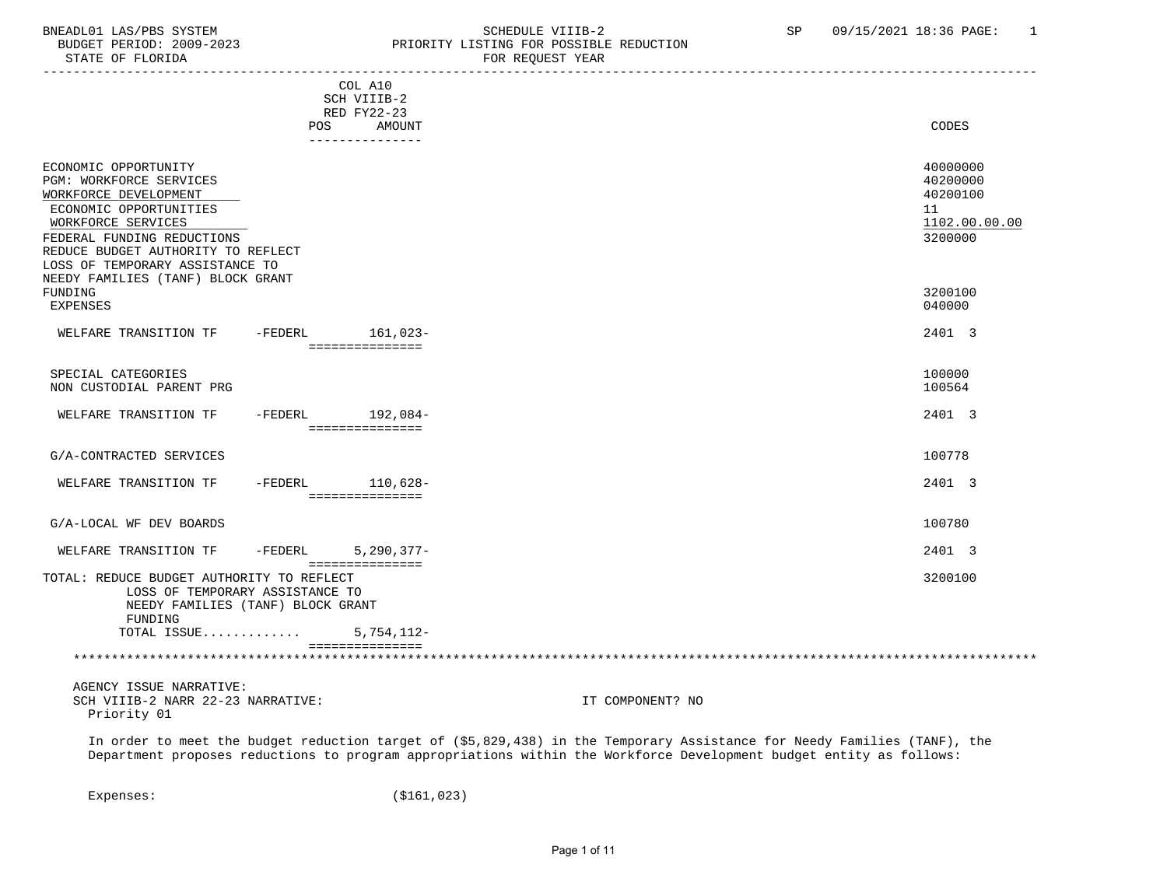## BNEADL01 LAS/PBS SYSTEM SOME SOME SCHEDULE VIIIB-2 SP 09/15/2021 18:36 PAGE: 1 BUDGET PERIOD: 2009-2023 PRIORITY LISTING FOR POSSIBLE REDUCTION<br>FOR REQUEST YEAR FOR REQUEST YEAR

|                                                                              |           | COL A10                             |                                                                                                                          |
|------------------------------------------------------------------------------|-----------|-------------------------------------|--------------------------------------------------------------------------------------------------------------------------|
|                                                                              |           | SCH VIIIB-2<br>RED FY22-23          |                                                                                                                          |
|                                                                              | POS       | AMOUNT                              | CODES                                                                                                                    |
|                                                                              |           | ---------------                     |                                                                                                                          |
| ECONOMIC OPPORTUNITY                                                         |           |                                     | 40000000                                                                                                                 |
| PGM: WORKFORCE SERVICES                                                      |           |                                     | 40200000                                                                                                                 |
| WORKFORCE DEVELOPMENT                                                        |           |                                     | 40200100                                                                                                                 |
| ECONOMIC OPPORTUNITIES                                                       |           |                                     | 11                                                                                                                       |
| WORKFORCE SERVICES                                                           |           |                                     | 1102.00.00.00                                                                                                            |
| FEDERAL FUNDING REDUCTIONS                                                   |           |                                     | 3200000                                                                                                                  |
| REDUCE BUDGET AUTHORITY TO REFLECT<br>LOSS OF TEMPORARY ASSISTANCE TO        |           |                                     |                                                                                                                          |
| NEEDY FAMILIES (TANF) BLOCK GRANT                                            |           |                                     |                                                                                                                          |
| FUNDING                                                                      |           |                                     | 3200100                                                                                                                  |
| <b>EXPENSES</b>                                                              |           |                                     | 040000                                                                                                                   |
| WELFARE TRANSITION TF                                                        |           | -FEDERL 161,023-                    | 2401 3                                                                                                                   |
|                                                                              |           | ===============                     |                                                                                                                          |
| SPECIAL CATEGORIES                                                           |           |                                     | 100000                                                                                                                   |
| NON CUSTODIAL PARENT PRG                                                     |           |                                     | 100564                                                                                                                   |
|                                                                              |           |                                     |                                                                                                                          |
| WELFARE TRANSITION TF                                                        |           | -FEDERL 192,084-                    | 2401 3                                                                                                                   |
|                                                                              |           | ===============                     |                                                                                                                          |
| G/A-CONTRACTED SERVICES                                                      |           |                                     | 100778                                                                                                                   |
| WELFARE TRANSITION TF                                                        |           |                                     | 2401 3                                                                                                                   |
|                                                                              |           | -FEDERL 110,628-<br>=============== |                                                                                                                          |
|                                                                              |           |                                     |                                                                                                                          |
| G/A-LOCAL WF DEV BOARDS                                                      |           |                                     | 100780                                                                                                                   |
| WELFARE TRANSITION TF                                                        | $-FEDERL$ | $5,290,377-$                        | 2401 3                                                                                                                   |
|                                                                              |           | ===============                     |                                                                                                                          |
| TOTAL: REDUCE BUDGET AUTHORITY TO REFLECT<br>LOSS OF TEMPORARY ASSISTANCE TO |           |                                     | 3200100                                                                                                                  |
| NEEDY FAMILIES (TANF) BLOCK GRANT                                            |           |                                     |                                                                                                                          |
| FUNDING                                                                      |           |                                     |                                                                                                                          |
| TOTAL ISSUE                                                                  |           | $5,754,112-$                        |                                                                                                                          |
|                                                                              |           | ===============                     |                                                                                                                          |
|                                                                              |           |                                     |                                                                                                                          |
| AGENCY ISSUE NARRATIVE:                                                      |           |                                     |                                                                                                                          |
| SCH VIIIB-2 NARR 22-23 NARRATIVE:                                            |           |                                     | IT COMPONENT? NO                                                                                                         |
| Priority 01                                                                  |           |                                     |                                                                                                                          |
|                                                                              |           |                                     | In order to meet the budget reduction target of (\$5,829,438) in the Temporary Assistance for Needy Families (TANF), the |
|                                                                              |           |                                     | Department proposes reductions to program appropriations within the Workforce Development budget entity as follows:      |

Expenses: (\$161,023)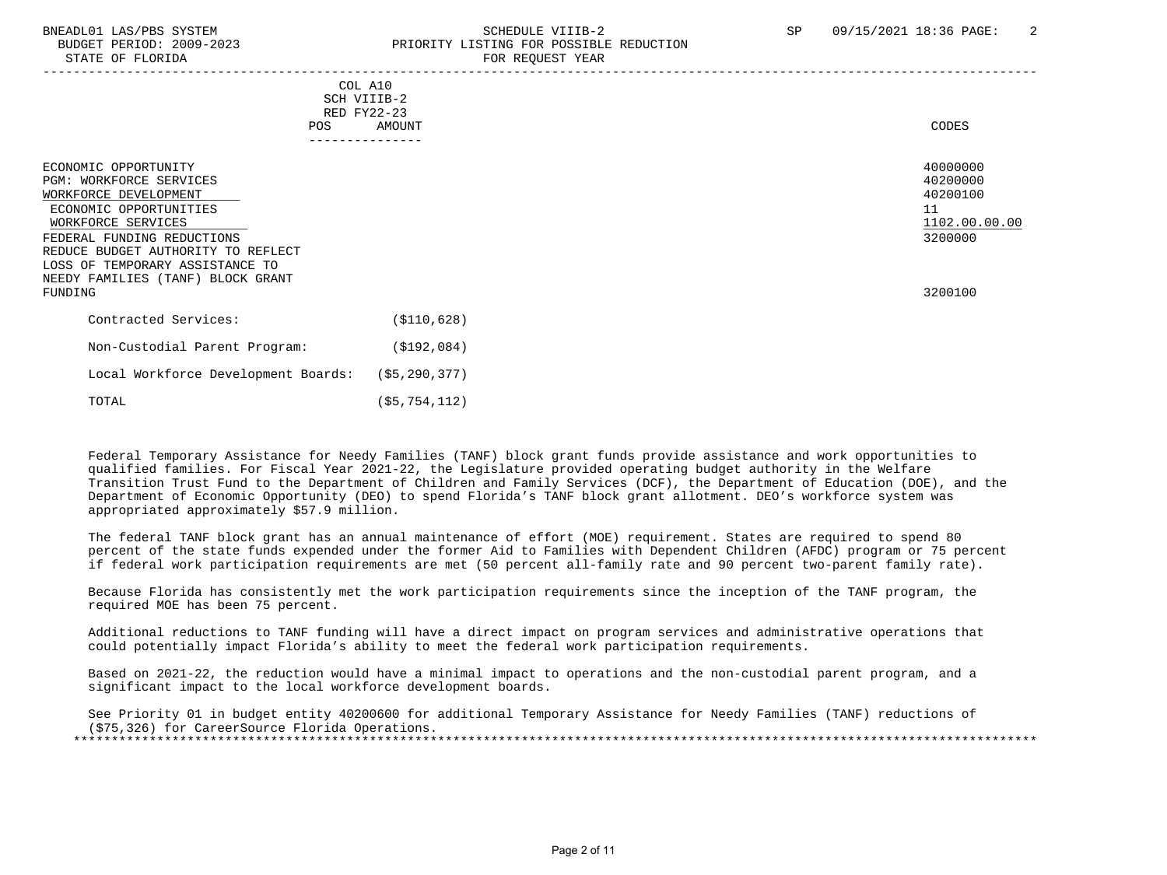## BNEADL01 LAS/PBS SYSTEM SCHEDULE VIIIB-2 SCHEDULE VIIIB-2 SP 09/15/2021 18:36 PAGE: 2 BUDGET PERIOD: 2009-2023 PRIORITY LISTING FOR POSSIBLE REDUCTION STATE OF FLORIDA FOR REQUEST YEAR FOR REQUEST YEAR

|                                                                                                                                                                                                                                                                                 | COL A10<br>SCH VIIIB-2<br>RED FY22-23 |                                                                               |
|---------------------------------------------------------------------------------------------------------------------------------------------------------------------------------------------------------------------------------------------------------------------------------|---------------------------------------|-------------------------------------------------------------------------------|
| POS                                                                                                                                                                                                                                                                             | AMOUNT<br>---------------             | CODES                                                                         |
| ECONOMIC OPPORTUNITY<br>PGM: WORKFORCE SERVICES<br>WORKFORCE DEVELOPMENT<br>ECONOMIC OPPORTUNITIES<br>WORKFORCE SERVICES<br>FEDERAL FUNDING REDUCTIONS<br>REDUCE BUDGET AUTHORITY TO REFLECT<br>LOSS OF TEMPORARY ASSISTANCE TO<br>NEEDY FAMILIES (TANF) BLOCK GRANT<br>FUNDING |                                       | 40000000<br>40200000<br>40200100<br>11<br>1102.00.00.00<br>3200000<br>3200100 |
| Contracted Services:                                                                                                                                                                                                                                                            | ( \$110, 628)                         |                                                                               |
| Non-Custodial Parent Program:                                                                                                                                                                                                                                                   | ( \$192, 084)                         |                                                                               |
| Local Workforce Development Boards:                                                                                                                                                                                                                                             | (\$5,290,377)                         |                                                                               |
| TOTAL                                                                                                                                                                                                                                                                           | (55, 754, 112)                        |                                                                               |

 Federal Temporary Assistance for Needy Families (TANF) block grant funds provide assistance and work opportunities to qualified families. For Fiscal Year 2021-22, the Legislature provided operating budget authority in the Welfare Transition Trust Fund to the Department of Children and Family Services (DCF), the Department of Education (DOE), and the Department of Economic Opportunity (DEO) to spend Florida's TANF block grant allotment. DEO's workforce system was appropriated approximately \$57.9 million.

 The federal TANF block grant has an annual maintenance of effort (MOE) requirement. States are required to spend 80 percent of the state funds expended under the former Aid to Families with Dependent Children (AFDC) program or 75 percent if federal work participation requirements are met (50 percent all-family rate and 90 percent two-parent family rate).

 Because Florida has consistently met the work participation requirements since the inception of the TANF program, the required MOE has been 75 percent.

 Additional reductions to TANF funding will have a direct impact on program services and administrative operations that could potentially impact Florida's ability to meet the federal work participation requirements.

 Based on 2021-22, the reduction would have a minimal impact to operations and the non-custodial parent program, and a significant impact to the local workforce development boards.

 See Priority 01 in budget entity 40200600 for additional Temporary Assistance for Needy Families (TANF) reductions of (\$75,326) for CareerSource Florida Operations. \*\*\*\*\*\*\*\*\*\*\*\*\*\*\*\*\*\*\*\*\*\*\*\*\*\*\*\*\*\*\*\*\*\*\*\*\*\*\*\*\*\*\*\*\*\*\*\*\*\*\*\*\*\*\*\*\*\*\*\*\*\*\*\*\*\*\*\*\*\*\*\*\*\*\*\*\*\*\*\*\*\*\*\*\*\*\*\*\*\*\*\*\*\*\*\*\*\*\*\*\*\*\*\*\*\*\*\*\*\*\*\*\*\*\*\*\*\*\*\*\*\*\*\*\*\*\*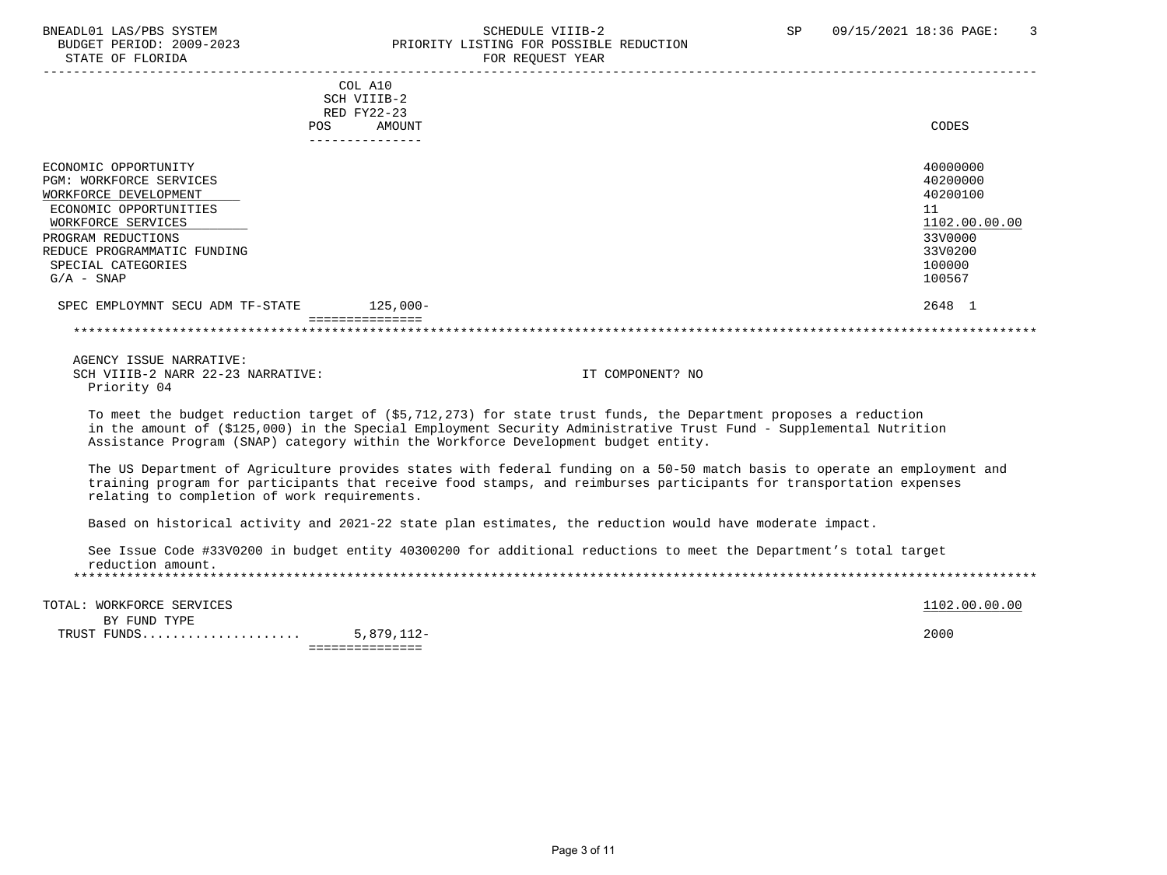### BNEADL01 LAS/PBS SYSTEM SCHEDULE VIIIB-2 SCHEDULE VIIIB-2<br>BUDGET PERIOD: 2009-2023 SP PRIORITY LISTING FOR POSSIBLE REDUCTION BUDGET PERIOD: 2009-2023 PRIORITY LISTING FOR POSSIBLE REDUCTION<br>STATE OF FLORIDA PRIORIC REDUEST YEAR FOR REQUEST YEAR

|                                  | COL A10<br>SCH VIIIB-2<br>RED FY22-23 |               |
|----------------------------------|---------------------------------------|---------------|
| POS                              | AMOUNT                                | CODES         |
|                                  | ------------                          |               |
|                                  |                                       |               |
| ECONOMIC OPPORTUNITY             |                                       | 40000000      |
| <b>PGM: WORKFORCE SERVICES</b>   |                                       | 40200000      |
| WORKFORCE DEVELOPMENT            |                                       | 40200100      |
| ECONOMIC OPPORTUNITIES           |                                       | 11            |
| WORKFORCE SERVICES               |                                       | 1102.00.00.00 |
| PROGRAM REDUCTIONS               |                                       | 33V0000       |
| REDUCE PROGRAMMATIC FUNDING      |                                       | 33V0200       |
| SPECIAL CATEGORIES               |                                       | 100000        |
| $G/A - SNAP$                     |                                       | 100567        |
| SPEC EMPLOYMNT SECU ADM TF-STATE | $125,000-$                            | 2648 1        |
|                                  |                                       |               |
|                                  |                                       |               |

 AGENCY ISSUE NARRATIVE: SCH VIIIB-2 NARR 22-23 NARRATIVE: IT COMPONENT? NO Priority 04

 To meet the budget reduction target of (\$5,712,273) for state trust funds, the Department proposes a reduction in the amount of (\$125,000) in the Special Employment Security Administrative Trust Fund - Supplemental Nutrition Assistance Program (SNAP) category within the Workforce Development budget entity.

 The US Department of Agriculture provides states with federal funding on a 50-50 match basis to operate an employment and training program for participants that receive food stamps, and reimburses participants for transportation expenses relating to completion of work requirements.

Based on historical activity and 2021-22 state plan estimates, the reduction would have moderate impact.

 See Issue Code #33V0200 in budget entity 40300200 for additional reductions to meet the Department's total target reduction amount. \*\*\*\*\*\*\*\*\*\*\*\*\*\*\*\*\*\*\*\*\*\*\*\*\*\*\*\*\*\*\*\*\*\*\*\*\*\*\*\*\*\*\*\*\*\*\*\*\*\*\*\*\*\*\*\*\*\*\*\*\*\*\*\*\*\*\*\*\*\*\*\*\*\*\*\*\*\*\*\*\*\*\*\*\*\*\*\*\*\*\*\*\*\*\*\*\*\*\*\*\*\*\*\*\*\*\*\*\*\*\*\*\*\*\*\*\*\*\*\*\*\*\*\*\*\*\*

TOTAL: WORKFORCE SERVICES 1102.00.00 POTAL: WORKFORCE SERVICES

 BY FUND TYPE TRUST FUNDS..................... 5,879,112- 2000 ===============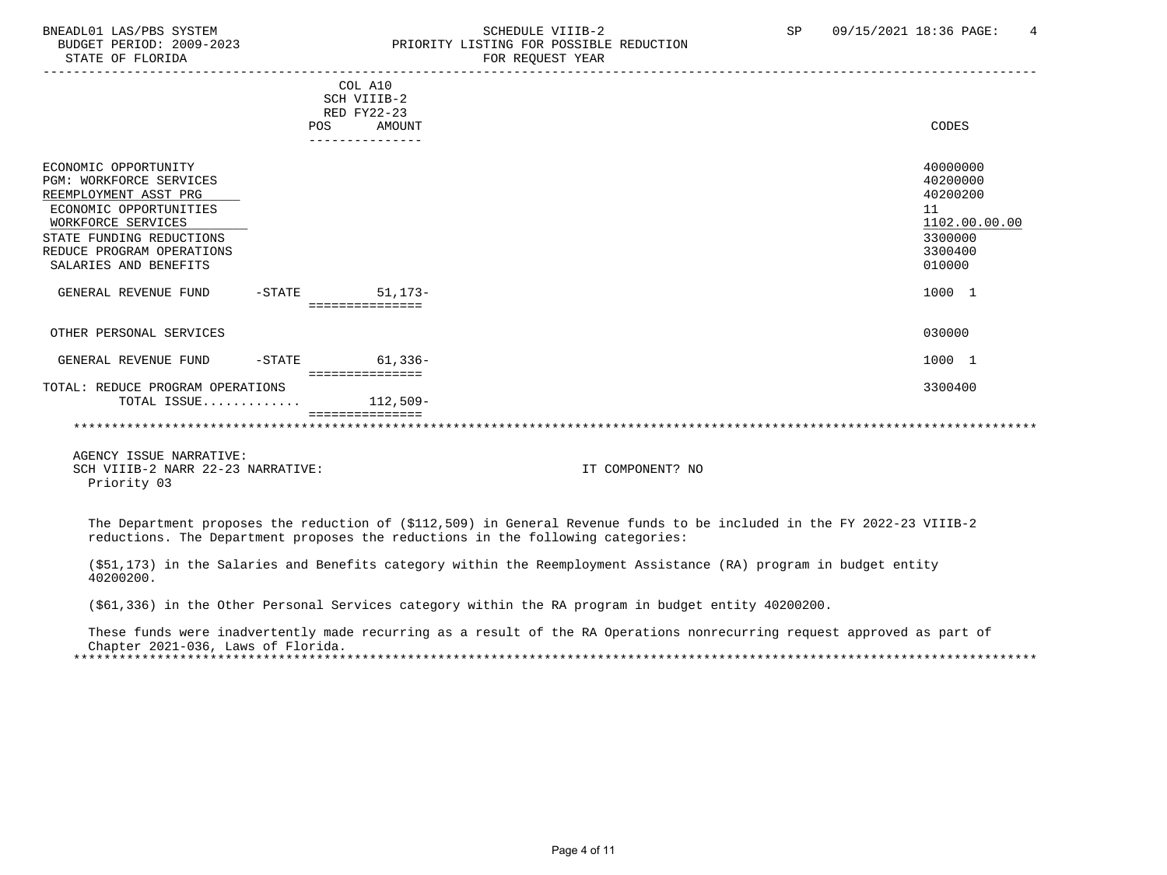#### BNEADL01 LAS/PBS SYSTEM SCHEDULE VIIIB-2 SCHEDULE VIIIB-2 SP 09/15/2021 18:36 PAGE: 4<br>BUDGET PERIOD: 2009-2023 PRIORITY LISTING FOR POSSIBLE REDUCTION BUDGET PERIOD: 2009-2023 PRIORITY LISTING FOR POSSIBLE REDUCTION<br>STATE OF FLORIDA PERIORIC PERIOR REGUEST YEAR FOR REQUEST YEAR

|                                  |           | COL A10                    |               |
|----------------------------------|-----------|----------------------------|---------------|
|                                  |           | SCH VIIIB-2                |               |
|                                  |           | RED FY22-23                |               |
|                                  |           | AMOUNT<br>POS              | CODES         |
|                                  |           |                            |               |
| ECONOMIC OPPORTUNITY             |           |                            | 40000000      |
| PGM: WORKFORCE SERVICES          |           |                            | 40200000      |
| REEMPLOYMENT ASST PRG            |           |                            | 40200200      |
| ECONOMIC OPPORTUNITIES           |           |                            | 11            |
| WORKFORCE SERVICES               |           |                            | 1102.00.00.00 |
| STATE FUNDING REDUCTIONS         |           |                            | 3300000       |
| REDUCE PROGRAM OPERATIONS        |           |                            | 3300400       |
| SALARIES AND BENEFITS            |           |                            | 010000        |
| GENERAL REVENUE FUND             | $-$ STATE | 51,173-                    | 1000 1        |
|                                  |           | :==========                |               |
|                                  |           |                            |               |
| OTHER PERSONAL SERVICES          |           |                            | 030000        |
|                                  |           |                            |               |
| GENERAL REVENUE FUND             | $-STATE$  | 61,336-<br>=============== | 1000 1        |
| TOTAL: REDUCE PROGRAM OPERATIONS |           |                            | 3300400       |
| TOTAL ISSUE                      |           | 112,509-                   |               |
|                                  |           |                            |               |
|                                  |           |                            |               |
|                                  |           |                            |               |

 AGENCY ISSUE NARRATIVE: SCH VIIIB-2 NARR 22-23 NARRATIVE: IT COMPONENT? NO Priority 03

 The Department proposes the reduction of (\$112,509) in General Revenue funds to be included in the FY 2022-23 VIIIB-2 reductions. The Department proposes the reductions in the following categories:

 (\$51,173) in the Salaries and Benefits category within the Reemployment Assistance (RA) program in budget entity 40200200.

(\$61,336) in the Other Personal Services category within the RA program in budget entity 40200200.

 These funds were inadvertently made recurring as a result of the RA Operations nonrecurring request approved as part of Chapter 2021-036, Laws of Florida. \*\*\*\*\*\*\*\*\*\*\*\*\*\*\*\*\*\*\*\*\*\*\*\*\*\*\*\*\*\*\*\*\*\*\*\*\*\*\*\*\*\*\*\*\*\*\*\*\*\*\*\*\*\*\*\*\*\*\*\*\*\*\*\*\*\*\*\*\*\*\*\*\*\*\*\*\*\*\*\*\*\*\*\*\*\*\*\*\*\*\*\*\*\*\*\*\*\*\*\*\*\*\*\*\*\*\*\*\*\*\*\*\*\*\*\*\*\*\*\*\*\*\*\*\*\*\*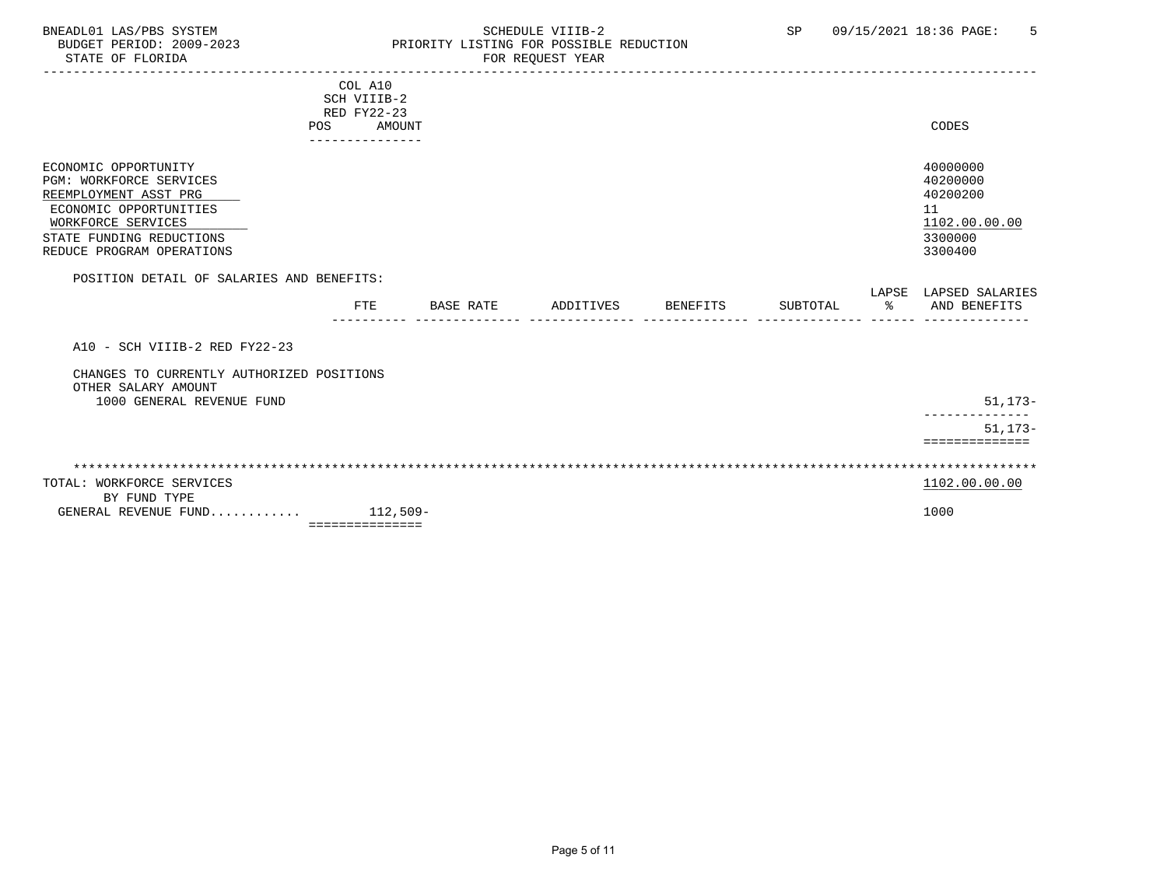# BNEADL01 LAS/PBS SYSTEM SCHEDULE VIIIB-2 SCHEDULE VIIIB-2 SP 09/15/2021 18:36 PAGE: 5<br>BUDGET PERIOD: 2009-2023 PRIORITY LISTING FOR POSSIBLE REDUCTION BUDGET PERIOD: 2009-2023 PRIORITY LISTING FOR POSSIBLE REDUCTION FOR REQUEST YEAR

|                                           |     | COL A10         |           |           |                 |          |                |                       |
|-------------------------------------------|-----|-----------------|-----------|-----------|-----------------|----------|----------------|-----------------------|
|                                           |     | SCH VIIIB-2     |           |           |                 |          |                |                       |
|                                           |     | RED FY22-23     |           |           |                 |          |                |                       |
|                                           | POS | AMOUNT          |           |           |                 |          |                | CODES                 |
|                                           |     | --------------- |           |           |                 |          |                |                       |
|                                           |     |                 |           |           |                 |          |                |                       |
| ECONOMIC OPPORTUNITY                      |     |                 |           |           |                 |          |                | 40000000              |
| <b>PGM: WORKFORCE SERVICES</b>            |     |                 |           |           |                 |          |                | 40200000              |
| REEMPLOYMENT ASST PRG                     |     |                 |           |           |                 |          |                | 40200200              |
| ECONOMIC OPPORTUNITIES                    |     |                 |           |           |                 |          |                | 11                    |
| WORKFORCE SERVICES                        |     |                 |           |           |                 |          |                | 1102.00.00.00         |
| STATE FUNDING REDUCTIONS                  |     |                 |           |           |                 |          |                | 3300000               |
| REDUCE PROGRAM OPERATIONS                 |     |                 |           |           |                 |          |                | 3300400               |
| POSITION DETAIL OF SALARIES AND BENEFITS: |     |                 |           |           |                 |          |                | LAPSE LAPSED SALARIES |
|                                           |     | <b>FTE</b>      | BASE RATE | ADDITIVES | <b>BENEFITS</b> | SUBTOTAL | $\frac{8}{10}$ | AND BENEFITS          |
|                                           |     |                 |           |           |                 |          |                |                       |
| A10 - SCH VIIIB-2 RED FY22-23             |     |                 |           |           |                 |          |                |                       |
| CHANGES TO CURRENTLY AUTHORIZED POSITIONS |     |                 |           |           |                 |          |                |                       |
| OTHER SALARY AMOUNT                       |     |                 |           |           |                 |          |                |                       |
| 1000 GENERAL REVENUE FUND                 |     |                 |           |           |                 |          |                | $51, 173 -$           |
|                                           |     |                 |           |           |                 |          |                | $51, 173 -$           |
|                                           |     |                 |           |           |                 |          |                | ==============        |
|                                           |     |                 |           |           |                 |          |                |                       |
|                                           |     |                 |           |           |                 |          |                |                       |
| TOTAL: WORKFORCE SERVICES                 |     |                 |           |           |                 |          |                | 1102.00.00.00         |
| BY FUND TYPE                              |     |                 |           |           |                 |          |                |                       |
| GENERAL REVENUE FUND                      |     | $112,509-$      |           |           |                 |          |                | 1000                  |
|                                           |     | =============== |           |           |                 |          |                |                       |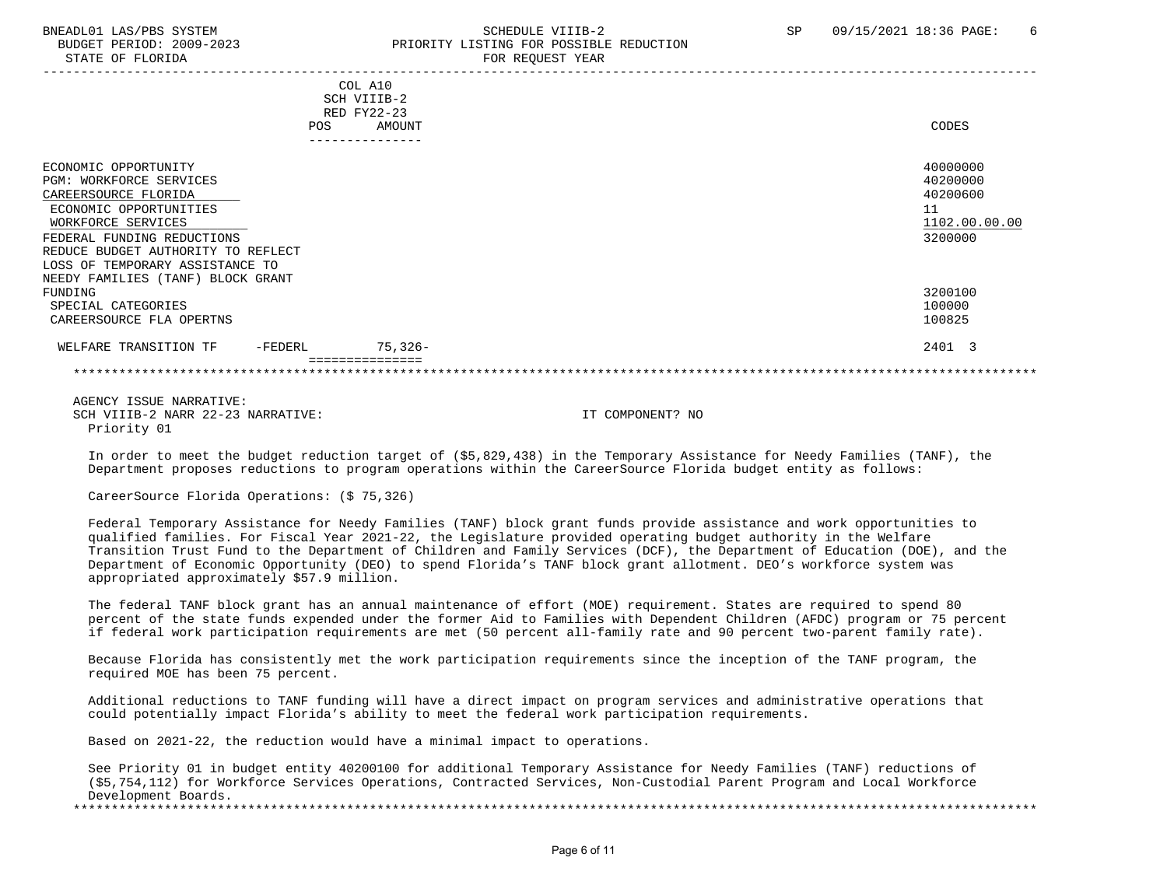#### BNEADL01 LAS/PBS SYSTEM SCHEDULE VIIIB-2 SCHEDULE VIIIB-2 SP 09/15/2021 18:36 PAGE: 6 BUDGET PERIOD: 2009-2023 PRIORITY LISTING FOR POSSIBLE REDUCTION STATE OF FLORIDA FOR REQUEST YEAR FOR REQUEST THAT THE REDUCT OF STATE OF STATE OF STATE OF STATE OF STATE OF STATE OF STATE OF STATE OF STATE OF STATE OF STATE OF STATE OF STATE OF STATE OF STATE OF STATE OF STATE OF STAT

|                                                 | COL A10                    |               |                      |
|-------------------------------------------------|----------------------------|---------------|----------------------|
|                                                 | SCH VIIIB-2<br>RED FY22-23 |               |                      |
|                                                 | POS                        | AMOUNT        | CODES                |
|                                                 |                            | ------------- |                      |
| ECONOMIC OPPORTUNITY<br>PGM: WORKFORCE SERVICES |                            |               | 40000000<br>40200000 |
| CAREERSOURCE FLORIDA                            |                            |               | 40200600             |
| ECONOMIC OPPORTUNITIES                          |                            |               | 11                   |
| WORKFORCE SERVICES                              |                            |               | 1102.00.00.00        |
| FEDERAL FUNDING REDUCTIONS                      |                            |               | 3200000              |
| REDUCE BUDGET AUTHORITY TO REFLECT              |                            |               |                      |
| LOSS OF TEMPORARY ASSISTANCE TO                 |                            |               |                      |
| NEEDY FAMILIES (TANF) BLOCK GRANT               |                            |               |                      |
| FUNDING                                         |                            |               | 3200100              |
| SPECIAL CATEGORIES                              |                            |               | 100000               |
| CAREERSOURCE FLA OPERTNS                        |                            |               | 100825               |
| WELFARE TRANSITION TF<br>$-FEDERL$              |                            | 75,326-       | 2401 3               |
|                                                 |                            |               |                      |
| ACTNOV TOCHE NADDATIVE.                         |                            |               |                      |

 AGENCY ISSUE NARRATIVE: SCH VIIIB-2 NARR 22-23 NARRATIVE: IT COMPONENT? NO Priority 01

 In order to meet the budget reduction target of (\$5,829,438) in the Temporary Assistance for Needy Families (TANF), the Department proposes reductions to program operations within the CareerSource Florida budget entity as follows:

CareerSource Florida Operations: (\$ 75,326)

 Federal Temporary Assistance for Needy Families (TANF) block grant funds provide assistance and work opportunities to qualified families. For Fiscal Year 2021-22, the Legislature provided operating budget authority in the Welfare Transition Trust Fund to the Department of Children and Family Services (DCF), the Department of Education (DOE), and the Department of Economic Opportunity (DEO) to spend Florida's TANF block grant allotment. DEO's workforce system was appropriated approximately \$57.9 million.

 The federal TANF block grant has an annual maintenance of effort (MOE) requirement. States are required to spend 80 percent of the state funds expended under the former Aid to Families with Dependent Children (AFDC) program or 75 percent if federal work participation requirements are met (50 percent all-family rate and 90 percent two-parent family rate).

 Because Florida has consistently met the work participation requirements since the inception of the TANF program, the required MOE has been 75 percent.

 Additional reductions to TANF funding will have a direct impact on program services and administrative operations that could potentially impact Florida's ability to meet the federal work participation requirements.

Based on 2021-22, the reduction would have a minimal impact to operations.

 See Priority 01 in budget entity 40200100 for additional Temporary Assistance for Needy Families (TANF) reductions of (\$5,754,112) for Workforce Services Operations, Contracted Services, Non-Custodial Parent Program and Local Workforce Development Boards. \*\*\*\*\*\*\*\*\*\*\*\*\*\*\*\*\*\*\*\*\*\*\*\*\*\*\*\*\*\*\*\*\*\*\*\*\*\*\*\*\*\*\*\*\*\*\*\*\*\*\*\*\*\*\*\*\*\*\*\*\*\*\*\*\*\*\*\*\*\*\*\*\*\*\*\*\*\*\*\*\*\*\*\*\*\*\*\*\*\*\*\*\*\*\*\*\*\*\*\*\*\*\*\*\*\*\*\*\*\*\*\*\*\*\*\*\*\*\*\*\*\*\*\*\*\*\*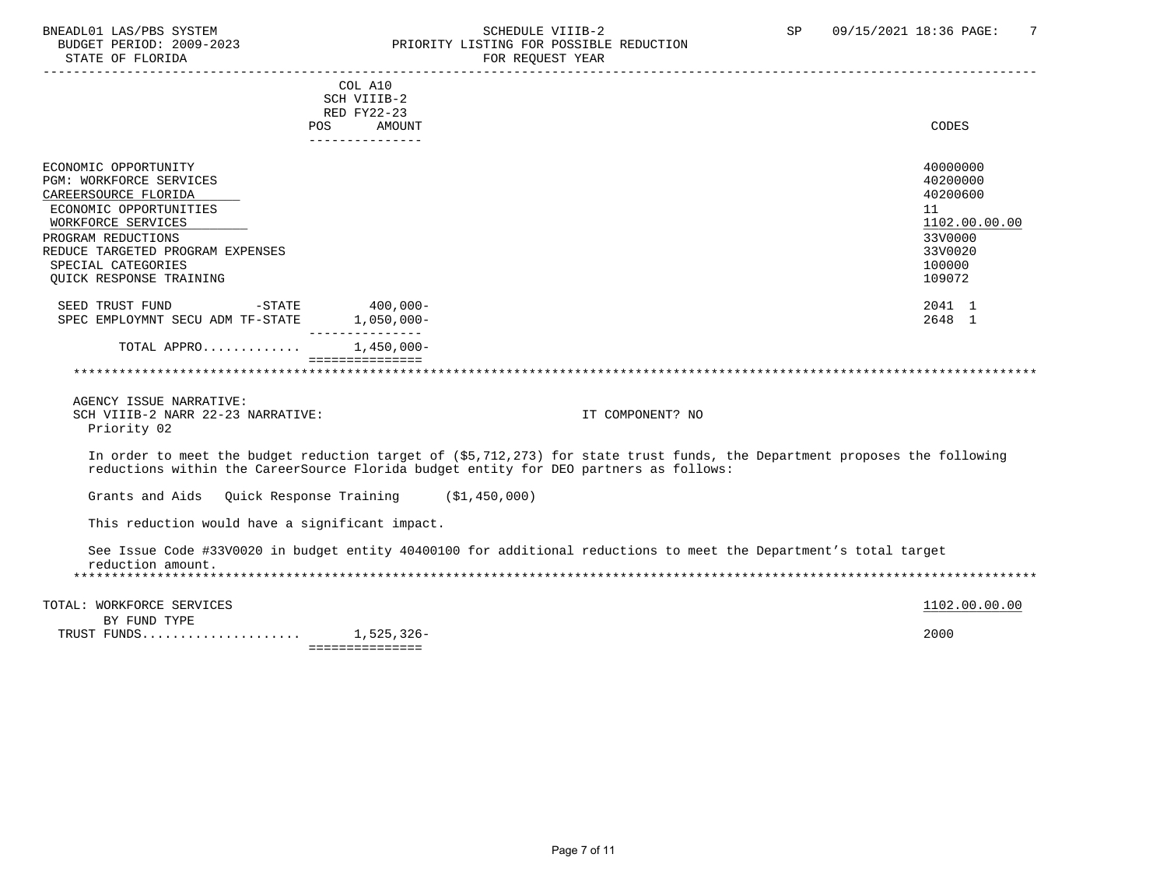# BNEADL01 LAS/PBS SYSTEM SALLE STRING THE SCHEDULE VIIIB-2 SP 09/15/2021 18:36 PAGE: 7<br>BUDGET PERIOD: 2009-2023 REIORITY LISTING FOR POSSIBLE REDUCTION BUDGET PERIOD: 2009-2023 PRIORITY LISTING FOR POSSIBLE REDUCTION<br>FOR REQUEST YEAR FOR REQUEST YEAR

| COL A10<br>SCH VIIIB-2<br>RED FY22-23<br><b>CODES</b><br>POS<br>AMOUNT<br>_______________<br>40000000<br>ECONOMIC OPPORTUNITY<br>40200000<br><b>PGM: WORKFORCE SERVICES</b><br>40200600<br>CAREERSOURCE FLORIDA<br>ECONOMIC OPPORTUNITIES<br>11<br>WORKFORCE SERVICES<br>1102.00.00.00<br>33V0000<br>PROGRAM REDUCTIONS<br>REDUCE TARGETED PROGRAM EXPENSES<br>33V0020<br>SPECIAL CATEGORIES<br>100000<br>109072<br>OUICK RESPONSE TRAINING<br>$-$ STATE<br>$400,000 -$<br>2041 1<br>SEED TRUST FUND<br>SPEC EMPLOYMNT SECU ADM TF-STATE<br>$1,050,000 -$<br>2648 1<br>TOTAL APPRO<br>$1,450,000 -$<br>===============<br>AGENCY ISSUE NARRATIVE:<br>SCH VIIIB-2 NARR 22-23 NARRATIVE:<br>IT COMPONENT? NO<br>Priority 02<br>In order to meet the budget reduction target of (\$5,712,273) for state trust funds, the Department proposes the following<br>reductions within the CareerSource Florida budget entity for DEO partners as follows:<br>Grants and Aids Quick Response Training (\$1,450,000) |  |  |  |  |
|-----------------------------------------------------------------------------------------------------------------------------------------------------------------------------------------------------------------------------------------------------------------------------------------------------------------------------------------------------------------------------------------------------------------------------------------------------------------------------------------------------------------------------------------------------------------------------------------------------------------------------------------------------------------------------------------------------------------------------------------------------------------------------------------------------------------------------------------------------------------------------------------------------------------------------------------------------------------------------------------------------------|--|--|--|--|
|                                                                                                                                                                                                                                                                                                                                                                                                                                                                                                                                                                                                                                                                                                                                                                                                                                                                                                                                                                                                           |  |  |  |  |
|                                                                                                                                                                                                                                                                                                                                                                                                                                                                                                                                                                                                                                                                                                                                                                                                                                                                                                                                                                                                           |  |  |  |  |
|                                                                                                                                                                                                                                                                                                                                                                                                                                                                                                                                                                                                                                                                                                                                                                                                                                                                                                                                                                                                           |  |  |  |  |
|                                                                                                                                                                                                                                                                                                                                                                                                                                                                                                                                                                                                                                                                                                                                                                                                                                                                                                                                                                                                           |  |  |  |  |
|                                                                                                                                                                                                                                                                                                                                                                                                                                                                                                                                                                                                                                                                                                                                                                                                                                                                                                                                                                                                           |  |  |  |  |
|                                                                                                                                                                                                                                                                                                                                                                                                                                                                                                                                                                                                                                                                                                                                                                                                                                                                                                                                                                                                           |  |  |  |  |
|                                                                                                                                                                                                                                                                                                                                                                                                                                                                                                                                                                                                                                                                                                                                                                                                                                                                                                                                                                                                           |  |  |  |  |
|                                                                                                                                                                                                                                                                                                                                                                                                                                                                                                                                                                                                                                                                                                                                                                                                                                                                                                                                                                                                           |  |  |  |  |
|                                                                                                                                                                                                                                                                                                                                                                                                                                                                                                                                                                                                                                                                                                                                                                                                                                                                                                                                                                                                           |  |  |  |  |
|                                                                                                                                                                                                                                                                                                                                                                                                                                                                                                                                                                                                                                                                                                                                                                                                                                                                                                                                                                                                           |  |  |  |  |
|                                                                                                                                                                                                                                                                                                                                                                                                                                                                                                                                                                                                                                                                                                                                                                                                                                                                                                                                                                                                           |  |  |  |  |
|                                                                                                                                                                                                                                                                                                                                                                                                                                                                                                                                                                                                                                                                                                                                                                                                                                                                                                                                                                                                           |  |  |  |  |
|                                                                                                                                                                                                                                                                                                                                                                                                                                                                                                                                                                                                                                                                                                                                                                                                                                                                                                                                                                                                           |  |  |  |  |
|                                                                                                                                                                                                                                                                                                                                                                                                                                                                                                                                                                                                                                                                                                                                                                                                                                                                                                                                                                                                           |  |  |  |  |
|                                                                                                                                                                                                                                                                                                                                                                                                                                                                                                                                                                                                                                                                                                                                                                                                                                                                                                                                                                                                           |  |  |  |  |
|                                                                                                                                                                                                                                                                                                                                                                                                                                                                                                                                                                                                                                                                                                                                                                                                                                                                                                                                                                                                           |  |  |  |  |
|                                                                                                                                                                                                                                                                                                                                                                                                                                                                                                                                                                                                                                                                                                                                                                                                                                                                                                                                                                                                           |  |  |  |  |
|                                                                                                                                                                                                                                                                                                                                                                                                                                                                                                                                                                                                                                                                                                                                                                                                                                                                                                                                                                                                           |  |  |  |  |
|                                                                                                                                                                                                                                                                                                                                                                                                                                                                                                                                                                                                                                                                                                                                                                                                                                                                                                                                                                                                           |  |  |  |  |
|                                                                                                                                                                                                                                                                                                                                                                                                                                                                                                                                                                                                                                                                                                                                                                                                                                                                                                                                                                                                           |  |  |  |  |
|                                                                                                                                                                                                                                                                                                                                                                                                                                                                                                                                                                                                                                                                                                                                                                                                                                                                                                                                                                                                           |  |  |  |  |
|                                                                                                                                                                                                                                                                                                                                                                                                                                                                                                                                                                                                                                                                                                                                                                                                                                                                                                                                                                                                           |  |  |  |  |
|                                                                                                                                                                                                                                                                                                                                                                                                                                                                                                                                                                                                                                                                                                                                                                                                                                                                                                                                                                                                           |  |  |  |  |
|                                                                                                                                                                                                                                                                                                                                                                                                                                                                                                                                                                                                                                                                                                                                                                                                                                                                                                                                                                                                           |  |  |  |  |
|                                                                                                                                                                                                                                                                                                                                                                                                                                                                                                                                                                                                                                                                                                                                                                                                                                                                                                                                                                                                           |  |  |  |  |
|                                                                                                                                                                                                                                                                                                                                                                                                                                                                                                                                                                                                                                                                                                                                                                                                                                                                                                                                                                                                           |  |  |  |  |
|                                                                                                                                                                                                                                                                                                                                                                                                                                                                                                                                                                                                                                                                                                                                                                                                                                                                                                                                                                                                           |  |  |  |  |
|                                                                                                                                                                                                                                                                                                                                                                                                                                                                                                                                                                                                                                                                                                                                                                                                                                                                                                                                                                                                           |  |  |  |  |
|                                                                                                                                                                                                                                                                                                                                                                                                                                                                                                                                                                                                                                                                                                                                                                                                                                                                                                                                                                                                           |  |  |  |  |
| This reduction would have a significant impact.                                                                                                                                                                                                                                                                                                                                                                                                                                                                                                                                                                                                                                                                                                                                                                                                                                                                                                                                                           |  |  |  |  |
|                                                                                                                                                                                                                                                                                                                                                                                                                                                                                                                                                                                                                                                                                                                                                                                                                                                                                                                                                                                                           |  |  |  |  |
| See Issue Code #33V0020 in budget entity 40400100 for additional reductions to meet the Department's total target                                                                                                                                                                                                                                                                                                                                                                                                                                                                                                                                                                                                                                                                                                                                                                                                                                                                                         |  |  |  |  |
| reduction amount.                                                                                                                                                                                                                                                                                                                                                                                                                                                                                                                                                                                                                                                                                                                                                                                                                                                                                                                                                                                         |  |  |  |  |
|                                                                                                                                                                                                                                                                                                                                                                                                                                                                                                                                                                                                                                                                                                                                                                                                                                                                                                                                                                                                           |  |  |  |  |
| 1102.00.00.00<br>TOTAL: WORKFORCE SERVICES                                                                                                                                                                                                                                                                                                                                                                                                                                                                                                                                                                                                                                                                                                                                                                                                                                                                                                                                                                |  |  |  |  |
| BY FUND TYPE                                                                                                                                                                                                                                                                                                                                                                                                                                                                                                                                                                                                                                                                                                                                                                                                                                                                                                                                                                                              |  |  |  |  |
| 2000<br>1,525,326-<br>TRUST FUNDS                                                                                                                                                                                                                                                                                                                                                                                                                                                                                                                                                                                                                                                                                                                                                                                                                                                                                                                                                                         |  |  |  |  |

===============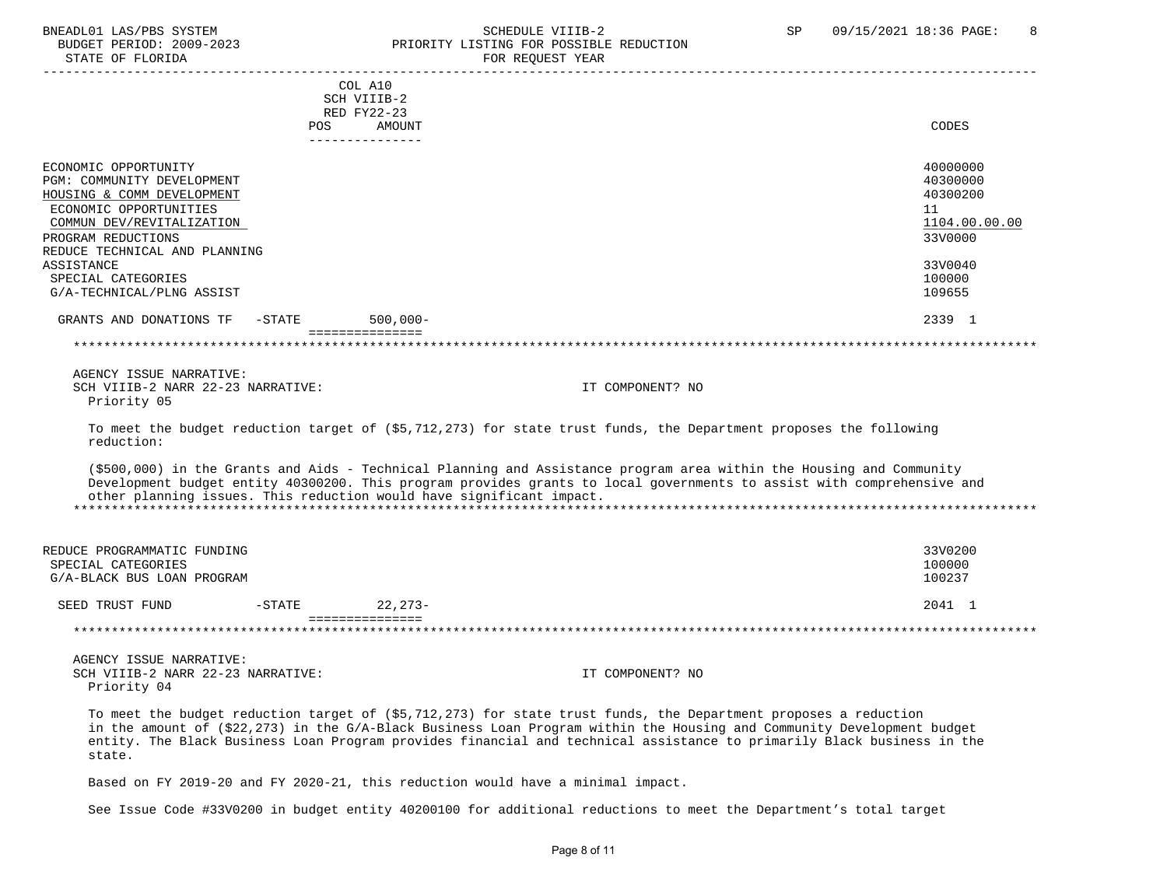### BNEADL01 LAS/PBS SYSTEM SCHEDULE VIIIB-2 SCHEDULE VIIIB-2 SP 09/15/2021 18:36 PAGE: 8<br>BUDGET PERIOD: 2009-2023 PRIORITY LISTING FOR POSSIBLE REDUCTION BUDGET PERIOD: 2009-2023 PRIORITY LISTING FOR POSSIBLE REDUCTION FOR REQUEST YEAR

|                                                                      | COL A10<br>SCH VIIIB-2<br>RED FY22-23 |             |                                                                                                                                                                                                                                                |                     |
|----------------------------------------------------------------------|---------------------------------------|-------------|------------------------------------------------------------------------------------------------------------------------------------------------------------------------------------------------------------------------------------------------|---------------------|
|                                                                      | POS<br>---------------                | AMOUNT      |                                                                                                                                                                                                                                                | CODES               |
| ECONOMIC OPPORTUNITY                                                 |                                       |             |                                                                                                                                                                                                                                                | 40000000            |
| PGM: COMMUNITY DEVELOPMENT                                           |                                       |             |                                                                                                                                                                                                                                                | 40300000            |
| HOUSING & COMM DEVELOPMENT                                           |                                       |             |                                                                                                                                                                                                                                                | 40300200            |
| ECONOMIC OPPORTUNITIES<br>COMMUN DEV/REVITALIZATION                  |                                       |             |                                                                                                                                                                                                                                                | 11<br>1104.00.00.00 |
| PROGRAM REDUCTIONS                                                   |                                       |             |                                                                                                                                                                                                                                                | 33V0000             |
| REDUCE TECHNICAL AND PLANNING                                        |                                       |             |                                                                                                                                                                                                                                                |                     |
| ASSISTANCE                                                           |                                       |             |                                                                                                                                                                                                                                                | 33V0040             |
| SPECIAL CATEGORIES                                                   |                                       |             |                                                                                                                                                                                                                                                | 100000              |
| G/A-TECHNICAL/PLNG ASSIST                                            |                                       |             |                                                                                                                                                                                                                                                | 109655              |
| GRANTS AND DONATIONS TF                                              | $-$ STATE                             | $500,000 -$ |                                                                                                                                                                                                                                                | 2339 1              |
|                                                                      | ===============                       |             |                                                                                                                                                                                                                                                |                     |
|                                                                      |                                       |             |                                                                                                                                                                                                                                                |                     |
| AGENCY ISSUE NARRATIVE:                                              |                                       |             |                                                                                                                                                                                                                                                |                     |
| SCH VIIIB-2 NARR 22-23 NARRATIVE:                                    |                                       |             | IT COMPONENT? NO                                                                                                                                                                                                                               |                     |
| Priority 05                                                          |                                       |             |                                                                                                                                                                                                                                                |                     |
|                                                                      |                                       |             |                                                                                                                                                                                                                                                |                     |
| reduction:                                                           |                                       |             | To meet the budget reduction target of (\$5,712,273) for state trust funds, the Department proposes the following                                                                                                                              |                     |
| other planning issues. This reduction would have significant impact. |                                       |             | (\$500,000) in the Grants and Aids - Technical Planning and Assistance program area within the Housing and Community<br>Development budget entity 40300200. This program provides grants to local governments to assist with comprehensive and |                     |
| REDUCE PROGRAMMATIC FUNDING                                          |                                       |             |                                                                                                                                                                                                                                                | 33V0200             |
| SPECIAL CATEGORIES                                                   |                                       |             |                                                                                                                                                                                                                                                | 100000              |
| G/A-BLACK BUS LOAN PROGRAM                                           |                                       |             |                                                                                                                                                                                                                                                | 100237              |
| SEED TRUST FUND                                                      | $-STATE$                              | $22,273-$   |                                                                                                                                                                                                                                                | 2041 1              |
|                                                                      | ===============                       |             |                                                                                                                                                                                                                                                |                     |
| AGENCY ISSUE NARRATIVE:                                              |                                       |             |                                                                                                                                                                                                                                                |                     |
|                                                                      |                                       |             | IT COMPONENT? NO                                                                                                                                                                                                                               |                     |
|                                                                      |                                       |             |                                                                                                                                                                                                                                                |                     |
| SCH VIIIB-2 NARR 22-23 NARRATIVE:<br>Priority 04                     |                                       |             |                                                                                                                                                                                                                                                |                     |

 in the amount of (\$22,273) in the G/A-Black Business Loan Program within the Housing and Community Development budget entity. The Black Business Loan Program provides financial and technical assistance to primarily Black business in the state.

Based on FY 2019-20 and FY 2020-21, this reduction would have a minimal impact.

See Issue Code #33V0200 in budget entity 40200100 for additional reductions to meet the Department's total target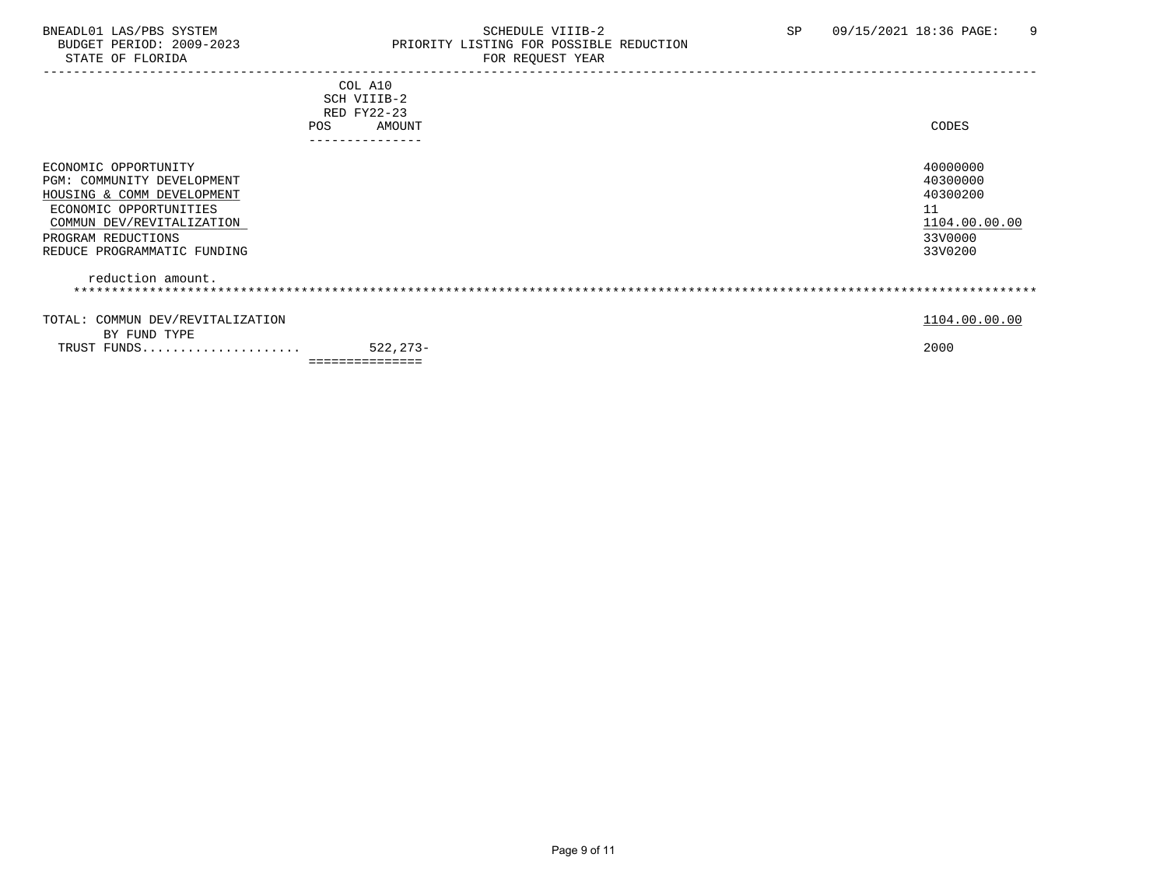# BNEADL01 LAS/PBS SYSTEM SOME SOME SOME SCHEDULE VIIIB-2 SP 09/15/2021 18:36 PAGE: 9<br>BUDGET PERIOD: 2009-2023 REIORITY LISTING FOR POSSIBLE REDUCTION BUDGET PERIOD: 2009-2023 PRIORITY LISTING FOR POSSIBLE REDUCTION<br>FOR REQUEST YEAR FOR REQUEST YEAR

| POS                                                                                                                                                                                          | COL A10<br>SCH VIIIB-2<br>RED FY22-23<br>AMOUNT<br>-------------- | CODES                                                                         |
|----------------------------------------------------------------------------------------------------------------------------------------------------------------------------------------------|-------------------------------------------------------------------|-------------------------------------------------------------------------------|
| ECONOMIC OPPORTUNITY<br>PGM: COMMUNITY DEVELOPMENT<br>HOUSING & COMM DEVELOPMENT<br>ECONOMIC OPPORTUNITIES<br>COMMUN DEV/REVITALIZATION<br>PROGRAM REDUCTIONS<br>REDUCE PROGRAMMATIC FUNDING |                                                                   | 40000000<br>40300000<br>40300200<br>11<br>1104.00.00.00<br>33V0000<br>33V0200 |
| reduction amount.                                                                                                                                                                            |                                                                   |                                                                               |
| TOTAL: COMMUN DEV/REVITALIZATION<br>BY FUND TYPE                                                                                                                                             |                                                                   | 1104.00.00.00                                                                 |
| TRUST FUNDS                                                                                                                                                                                  | 522,273-<br>===============                                       | 2000                                                                          |
|                                                                                                                                                                                              |                                                                   |                                                                               |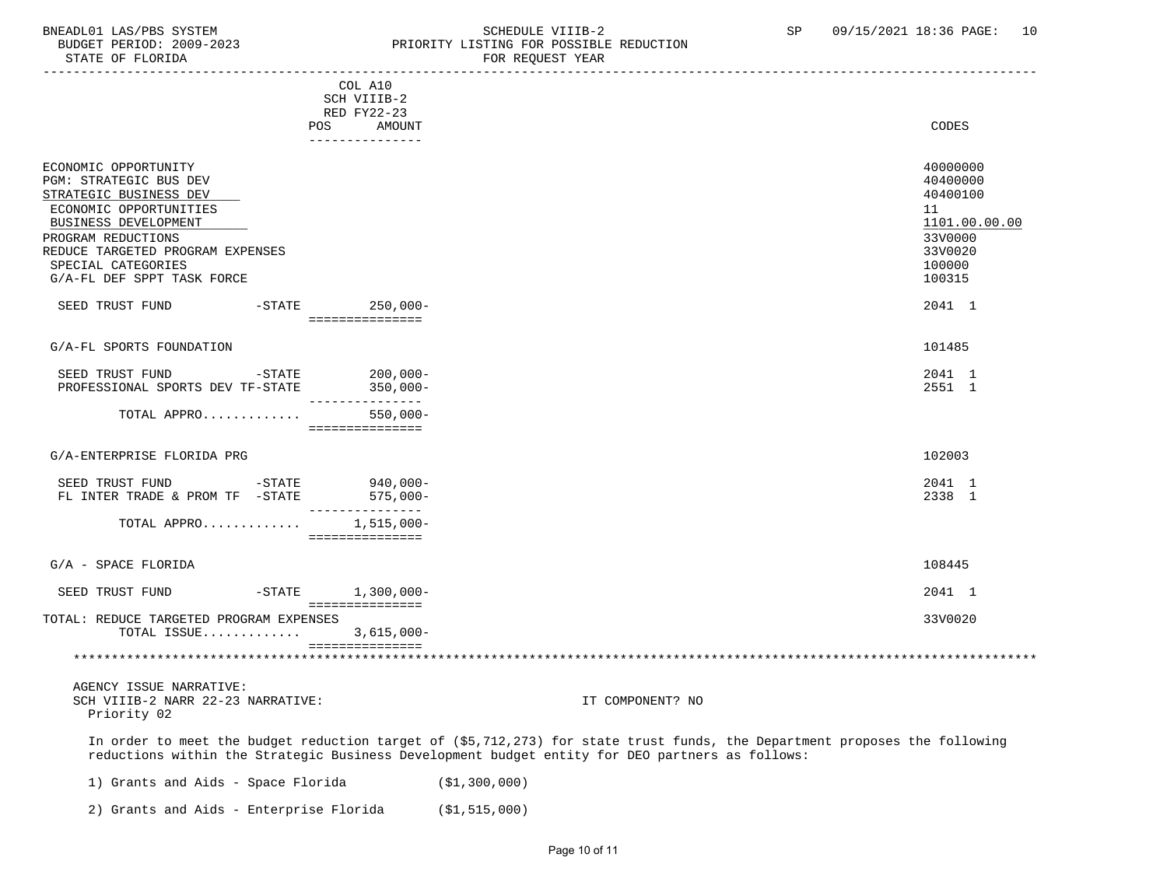# BNEADL01 LAS/PBS SYSTEM SCHEDULE VIIIB-2 SCHEDULE VIIIB-2 SP 09/15/2021 18:36 PAGE: 10<br>BUDGET PERIOD: 2009-2023 PRIORITY LISTING FOR POSSIBLE REDUCTION BUDGET PERIOD: 2009-2023 PRIORITY LISTING FOR POSSIBLE REDUCTION<br>FOR REQUEST YEAR FOR REQUEST YEAR

|                                                                                                                                                                                                                                          | COL A10                                |                                                                                                                                                                                                                               |
|------------------------------------------------------------------------------------------------------------------------------------------------------------------------------------------------------------------------------------------|----------------------------------------|-------------------------------------------------------------------------------------------------------------------------------------------------------------------------------------------------------------------------------|
|                                                                                                                                                                                                                                          | SCH VIIIB-2<br>RED FY22-23             |                                                                                                                                                                                                                               |
|                                                                                                                                                                                                                                          | POS AMOUNT                             | CODES                                                                                                                                                                                                                         |
|                                                                                                                                                                                                                                          | ---------------                        |                                                                                                                                                                                                                               |
| ECONOMIC OPPORTUNITY<br>PGM: STRATEGIC BUS DEV<br>STRATEGIC BUSINESS DEV<br>ECONOMIC OPPORTUNITIES<br>BUSINESS DEVELOPMENT<br>PROGRAM REDUCTIONS<br>REDUCE TARGETED PROGRAM EXPENSES<br>SPECIAL CATEGORIES<br>G/A-FL DEF SPPT TASK FORCE |                                        | 40000000<br>40400000<br>40400100<br>11<br>1101.00.00.00<br>33V0000<br>33V0020<br>100000<br>100315                                                                                                                             |
| SEED TRUST FUND -STATE 250,000-                                                                                                                                                                                                          |                                        | 2041 1                                                                                                                                                                                                                        |
|                                                                                                                                                                                                                                          | ================                       |                                                                                                                                                                                                                               |
| G/A-FL SPORTS FOUNDATION                                                                                                                                                                                                                 |                                        | 101485                                                                                                                                                                                                                        |
| SEED TRUST FUND -STATE                                                                                                                                                                                                                   | $200,000-$                             | 2041 1                                                                                                                                                                                                                        |
| PROFESSIONAL SPORTS DEV TF-STATE 350,000-                                                                                                                                                                                                | _______________                        | 2551 1                                                                                                                                                                                                                        |
| TOTAL APPRO 550,000-                                                                                                                                                                                                                     |                                        |                                                                                                                                                                                                                               |
|                                                                                                                                                                                                                                          | ================                       |                                                                                                                                                                                                                               |
| G/A-ENTERPRISE FLORIDA PRG                                                                                                                                                                                                               |                                        | 102003                                                                                                                                                                                                                        |
| SEED TRUST FUND -STATE 940,000-                                                                                                                                                                                                          |                                        | 2041 1                                                                                                                                                                                                                        |
| FL INTER TRADE & PROM TF -STATE 575,000-                                                                                                                                                                                                 | _________________                      | 2338 1                                                                                                                                                                                                                        |
| TOTAL APPRO $1,515,000-$                                                                                                                                                                                                                 | - ===============                      |                                                                                                                                                                                                                               |
|                                                                                                                                                                                                                                          |                                        |                                                                                                                                                                                                                               |
| G/A - SPACE FLORIDA                                                                                                                                                                                                                      |                                        | 108445                                                                                                                                                                                                                        |
| SEED TRUST FUND                                                                                                                                                                                                                          | $-STATE$ 1,300,000-<br>=============== | 2041 1                                                                                                                                                                                                                        |
| TOTAL: REDUCE TARGETED PROGRAM EXPENSES                                                                                                                                                                                                  |                                        | 33V0020                                                                                                                                                                                                                       |
| TOTAL ISSUE 3,615,000-                                                                                                                                                                                                                   | ===============                        |                                                                                                                                                                                                                               |
|                                                                                                                                                                                                                                          |                                        |                                                                                                                                                                                                                               |
|                                                                                                                                                                                                                                          |                                        |                                                                                                                                                                                                                               |
| AGENCY ISSUE NARRATIVE:<br>SCH VIIIB-2 NARR 22-23 NARRATIVE:<br>Priority 02                                                                                                                                                              |                                        | IT COMPONENT? NO                                                                                                                                                                                                              |
|                                                                                                                                                                                                                                          |                                        | In order to meet the budget reduction target of (\$5,712,273) for state trust funds, the Department proposes the following<br>reductions within the Strategic Business Development budget entity for DEO partners as follows: |
| 1) Grants and Aids - Space Florida                                                                                                                                                                                                       |                                        | (\$1,300,000)                                                                                                                                                                                                                 |